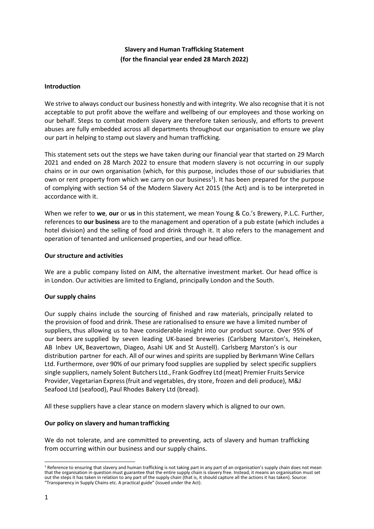# **Slavery and Human Trafficking Statement (for the financial year ended 28 March 2022)**

### **Introduction**

We strive to always conduct our business honestly and with integrity. We also recognise that it is not acceptable to put profit above the welfare and wellbeing of our employees and those working on our behalf. Steps to combat modern slavery are therefore taken seriously, and efforts to prevent abuses are fully embedded across all departments throughout our organisation to ensure we play our part in helping to stamp out slavery and human trafficking.

This statement sets out the steps we have taken during our financial year that started on 29 March 2021 and ended on 28 March 2022 to ensure that modern slavery is not occurring in our supply chains or in our own organisation (which, for this purpose, includes those of our subsidiaries that own or rent property from which we carry on our business<sup>1</sup>). It has been prepared for the purpose of complying with section 54 of the Modern Slavery Act 2015 (the Act) and is to be interpreted in accordance with it.

When we refer to **we**, **our** or **us** in this statement, we mean Young & Co.'s Brewery, P.L.C. Further, references to **our business** are to the management and operation of a pub estate (which includes a hotel division) and the selling of food and drink through it. It also refers to the management and operation of tenanted and unlicensed properties, and our head office.

## **Our structure and activities**

We are a public company listed on AIM, the alternative investment market. Our head office is in London. Our activities are limited to England, principally London and the South.

## **Our supply chains**

Our supply chains include the sourcing of finished and raw materials, principally related to the provision of food and drink. These are rationalised to ensure we have a limited number of suppliers, thus allowing us to have considerable insight into our product source. Over 95% of our beers are supplied by seven leading UK-based breweries (Carlsberg Marston's, Heineken, AB Inbev UK, Beavertown, Diageo, Asahi UK and St Austell). Carlsberg Marston's is our distribution partner for each. All of our wines and spirits are supplied by Berkmann Wine Cellars Ltd. Furthermore, over 90% of our primary food supplies are supplied by select specific suppliers single suppliers, namely Solent Butchers Ltd., Frank Godfrey Ltd (meat) Premier Fruits Service Provider, Vegetarian Express (fruit and vegetables, dry store, frozen and deli produce), M&J Seafood Ltd (seafood), Paul Rhodes Bakery Ltd (bread).

All these suppliers have a clear stance on modern slavery which is aligned to our own.

#### **Our policy on slavery and human trafficking**

We do not tolerate, and are committed to preventing, acts of slavery and human trafficking from occurring within our business and our supply chains.

<sup>&</sup>lt;sup>1</sup> Reference to ensuring that slavery and human trafficking is not taking part in any part of an organisation's supply chain does not mean that the organisation in question must guarantee that the entire supply chain is slavery free. Instead, it means an organisation must set out the steps it has taken in relation to any part of the supply chain (that is, it should capture all the actions it has taken). Source: "Transparency in Supply Chains etc. A practical guide" (issued under the Act).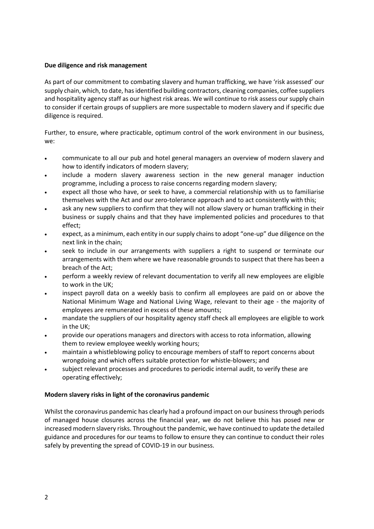## **Due diligence and risk management**

As part of our commitment to combating slavery and human trafficking, we have 'risk assessed' our supply chain, which, to date, has identified building contractors, cleaning companies, coffee suppliers and hospitality agency staff as our highest risk areas. We will continue to risk assess our supply chain to consider if certain groups of suppliers are more suspectable to modern slavery and if specific due diligence is required.

Further, to ensure, where practicable, optimum control of the work environment in our business, we:

- communicate to all our pub and hotel general managers an overview of modern slavery and how to identify indicators of modern slavery;
- include a modern slavery awareness section in the new general manager induction programme, including a process to raise concerns regarding modern slavery;
- expect all those who have, or seek to have, a commercial relationship with us to familiarise themselves with the Act and our zero-tolerance approach and to act consistently with this;
- ask any new suppliers to confirm that they will not allow slavery or human trafficking in their business or supply chains and that they have implemented policies and procedures to that effect;
- expect, as a minimum, each entity in our supply chains to adopt "one-up" due diligence on the next link in the chain;
- seek to include in our arrangements with suppliers a right to suspend or terminate our arrangements with them where we have reasonable grounds to suspect that there has been a breach of the Act;
- perform a weekly review of relevant documentation to verify all new employees are eligible to work in the UK;
- inspect payroll data on a weekly basis to confirm all employees are paid on or above the National Minimum Wage and National Living Wage, relevant to their age - the majority of employees are remunerated in excess of these amounts;
- mandate the suppliers of our hospitality agency staff check all employees are eligible to work in the UK;
- provide our operations managers and directors with access to rota information, allowing them to review employee weekly working hours;
- maintain a whistleblowing policy to encourage members of staff to report concerns about wrongdoing and which offers suitable protection for whistle-blowers; and
- subject relevant processes and procedures to periodic internal audit, to verify these are operating effectively;

## **Modern slavery risks in light of the coronavirus pandemic**

Whilst the coronavirus pandemic has clearly had a profound impact on our business through periods of managed house closures across the financial year, we do not believe this has posed new or increased modern slavery risks. Throughout the pandemic, we have continued to update the detailed guidance and procedures for our teams to follow to ensure they can continue to conduct their roles safely by preventing the spread of COVID-19 in our business.